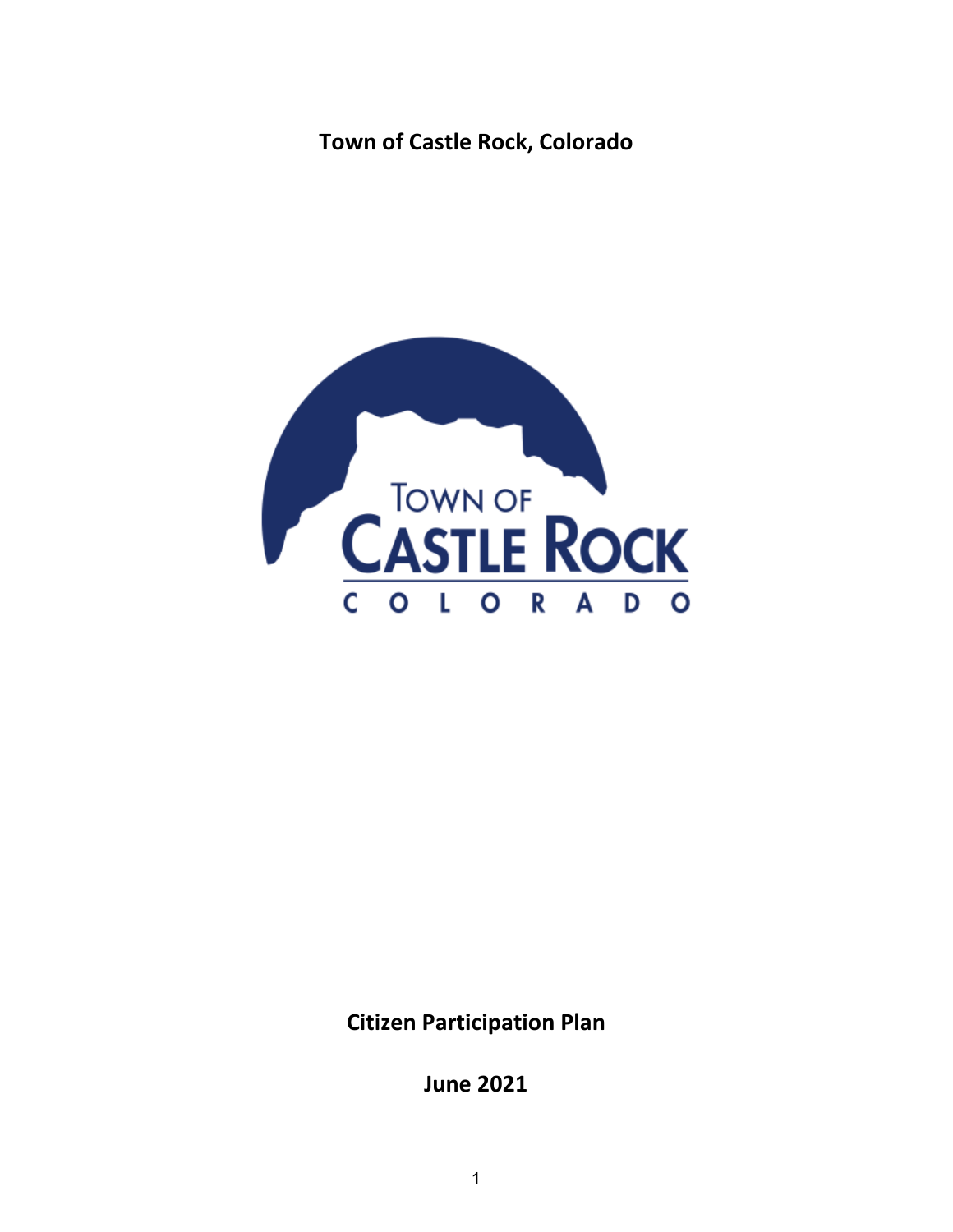# **Town of Castle Rock, Colorado**



**Citizen Participation Plan**

**June 2021**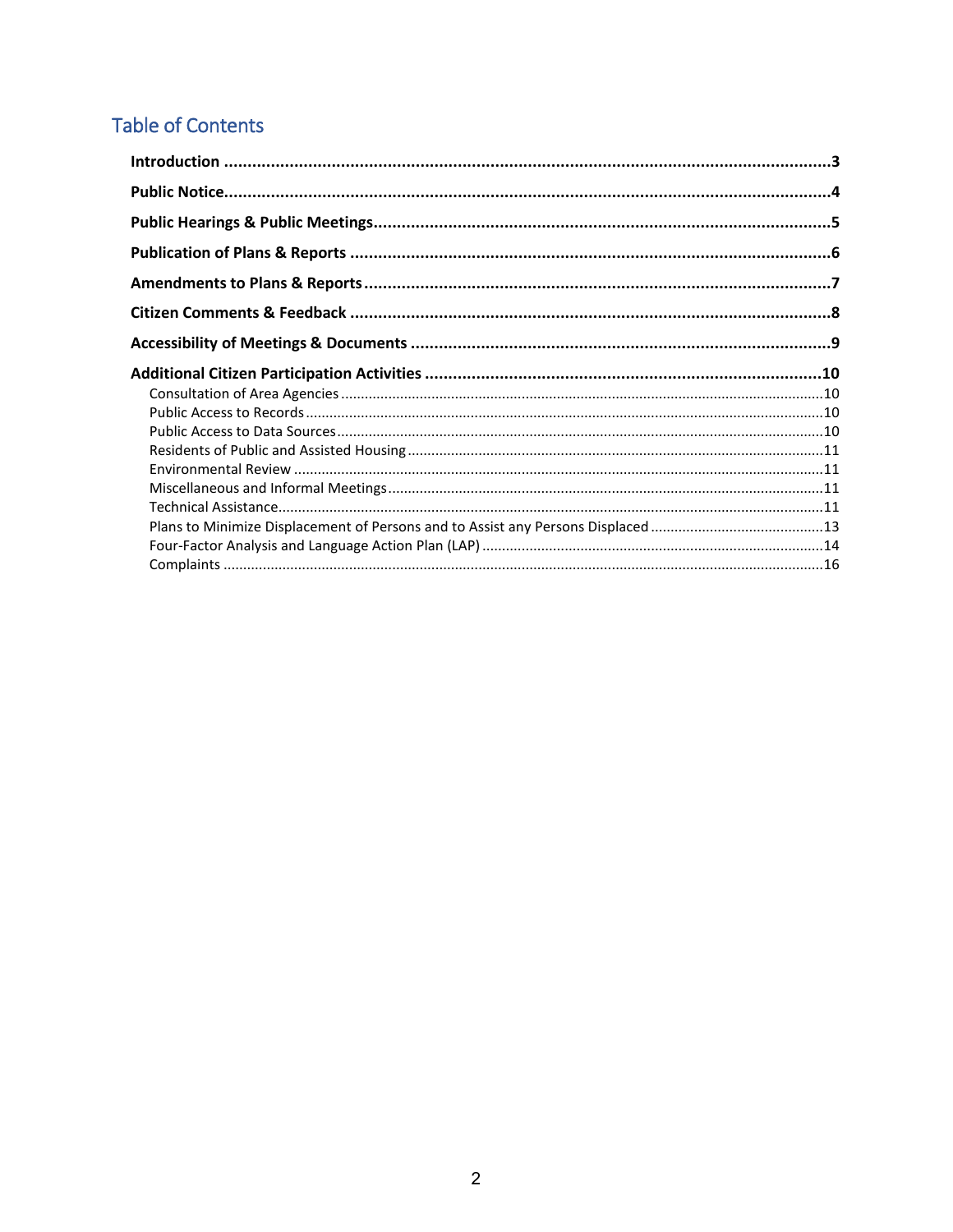# **Table of Contents**

| $Complaints \  \, \ldots \  \, \ldots \  \, \ldots \  \, \ldots \  \, \ldots \  \, \ldots \  \, \ldots \  \, \ldots \  \, \ldots \  \, \ldots \  \, \ldots \  \, \ldots \  \, \ldots \  \, \ldots \  \, \ldots \  \, \ldots \  \, \ldots \  \, \ldots \  \, \ldots \  \, \ldots \  \, \ldots \  \, \ldots \  \, \ldots \  \, \ldots \  \, \ldots \  \, \ldots \  \, \ldots \  \, \ldots \  \, \ldots \  \, \ldots \  \, \ld$ |  |
|------------------------------------------------------------------------------------------------------------------------------------------------------------------------------------------------------------------------------------------------------------------------------------------------------------------------------------------------------------------------------------------------------------------------------|--|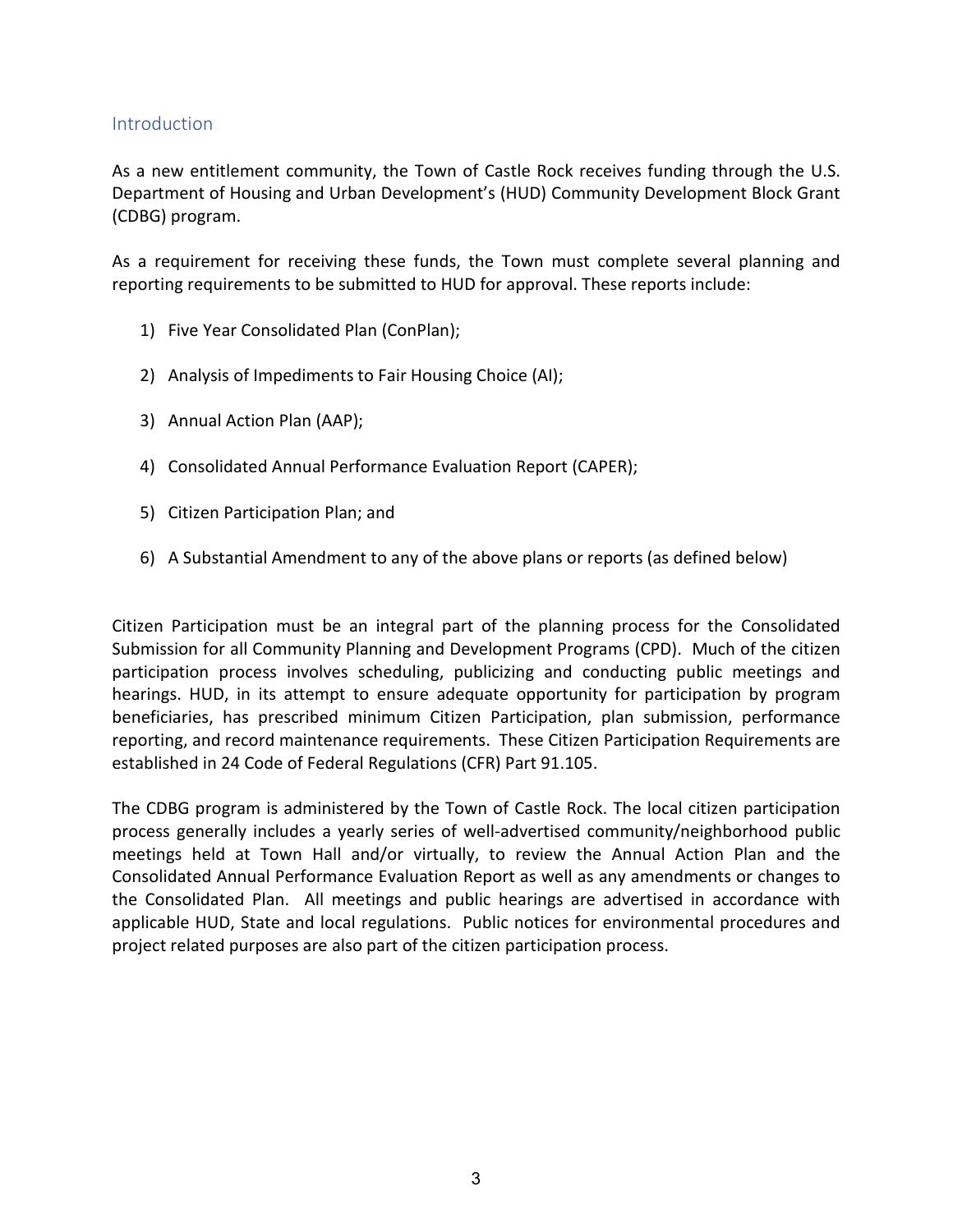# <span id="page-2-0"></span>**Introduction**

As a new entitlement community, the Town of Castle Rock receives funding through the U.S. Department of Housing and Urban Development's (HUD) Community Development Block Grant (CDBG) program.

As a requirement for receiving these funds, the Town must complete several planning and reporting requirements to be submitted to HUD for approval. These reports include:

- 1) Five Year Consolidated Plan (ConPlan);
- 2) Analysis of Impediments to Fair Housing Choice (AI);
- 3) Annual Action Plan (AAP);
- 4) Consolidated Annual Performance Evaluation Report (CAPER);
- 5) Citizen Participation Plan; and
- 6) A Substantial Amendment to any of the above plans or reports (as defined below)

Citizen Participation must be an integral part of the planning process for the Consolidated Submission for all Community Planning and Development Programs (CPD). Much of the citizen participation process involves scheduling, publicizing and conducting public meetings and hearings. HUD, in its attempt to ensure adequate opportunity for participation by program beneficiaries, has prescribed minimum Citizen Participation, plan submission, performance reporting, and record maintenance requirements. These Citizen Participation Requirements are established in 24 Code of Federal Regulations (CFR) Part 91.105.

The CDBG program is administered by the Town of Castle Rock. The local citizen participation process generally includes a yearly series of well-advertised community/neighborhood public meetings held at Town Hall and/or virtually, to review the Annual Action Plan and the Consolidated Annual Performance Evaluation Report as well as any amendments or changes to the Consolidated Plan. All meetings and public hearings are advertised in accordance with applicable HUD, State and local regulations. Public notices for environmental procedures and project related purposes are also part of the citizen participation process.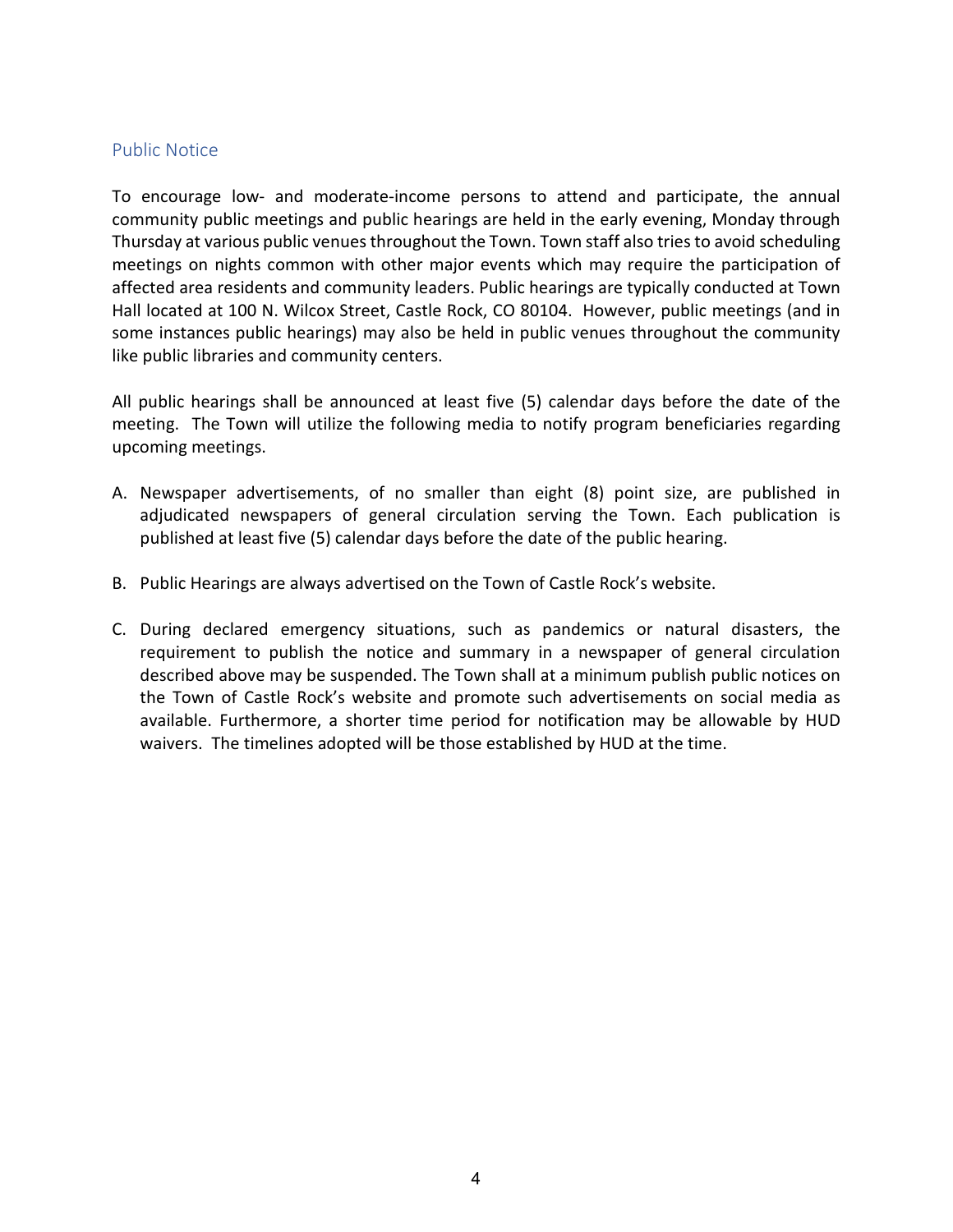### <span id="page-3-0"></span>Public Notice

To encourage low- and moderate-income persons to attend and participate, the annual community public meetings and public hearings are held in the early evening, Monday through Thursday at various public venues throughout the Town. Town staff also tries to avoid scheduling meetings on nights common with other major events which may require the participation of affected area residents and community leaders. Public hearings are typically conducted at Town Hall located at 100 N. Wilcox Street, Castle Rock, CO 80104. However, public meetings (and in some instances public hearings) may also be held in public venues throughout the community like public libraries and community centers.

All public hearings shall be announced at least five (5) calendar days before the date of the meeting. The Town will utilize the following media to notify program beneficiaries regarding upcoming meetings.

- A. Newspaper advertisements, of no smaller than eight (8) point size, are published in adjudicated newspapers of general circulation serving the Town. Each publication is published at least five (5) calendar days before the date of the public hearing.
- B. Public Hearings are always advertised on the Town of Castle Rock's website.
- C. During declared emergency situations, such as pandemics or natural disasters, the requirement to publish the notice and summary in a newspaper of general circulation described above may be suspended. The Town shall at a minimum publish public notices on the Town of Castle Rock's website and promote such advertisements on social media as available. Furthermore, a shorter time period for notification may be allowable by HUD waivers. The timelines adopted will be those established by HUD at the time.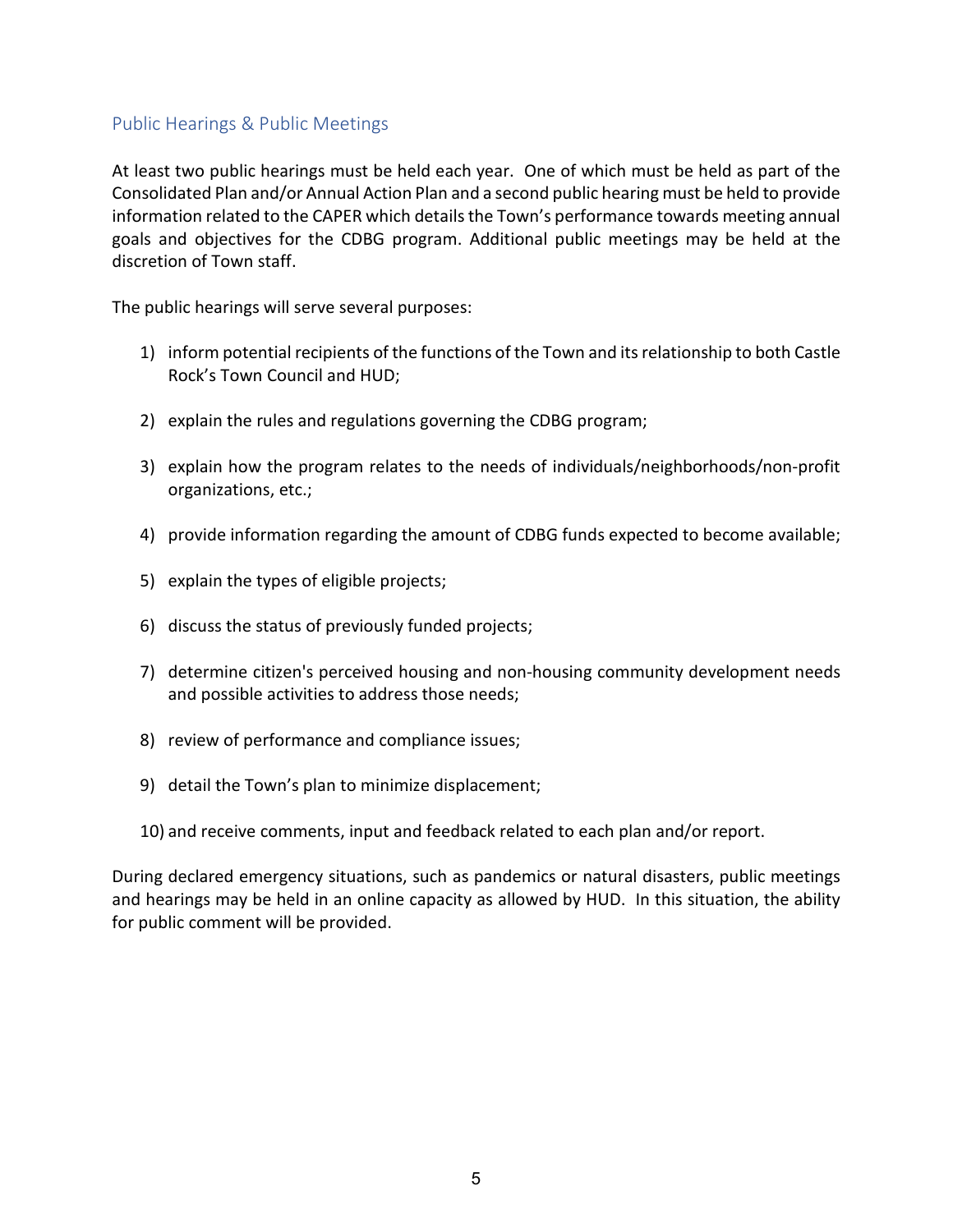# <span id="page-4-0"></span>Public Hearings & Public Meetings

At least two public hearings must be held each year. One of which must be held as part of the Consolidated Plan and/or Annual Action Plan and a second public hearing must be held to provide information related to the CAPER which details the Town's performance towards meeting annual goals and objectives for the CDBG program. Additional public meetings may be held at the discretion of Town staff.

The public hearings will serve several purposes:

- 1) inform potential recipients of the functions of the Town and its relationship to both Castle Rock's Town Council and HUD;
- 2) explain the rules and regulations governing the CDBG program;
- 3) explain how the program relates to the needs of individuals/neighborhoods/non-profit organizations, etc.;
- 4) provide information regarding the amount of CDBG funds expected to become available;
- 5) explain the types of eligible projects;
- 6) discuss the status of previously funded projects;
- 7) determine citizen's perceived housing and non-housing community development needs and possible activities to address those needs;
- 8) review of performance and compliance issues;
- 9) detail the Town's plan to minimize displacement;
- 10) and receive comments, input and feedback related to each plan and/or report.

During declared emergency situations, such as pandemics or natural disasters, public meetings and hearings may be held in an online capacity as allowed by HUD. In this situation, the ability for public comment will be provided.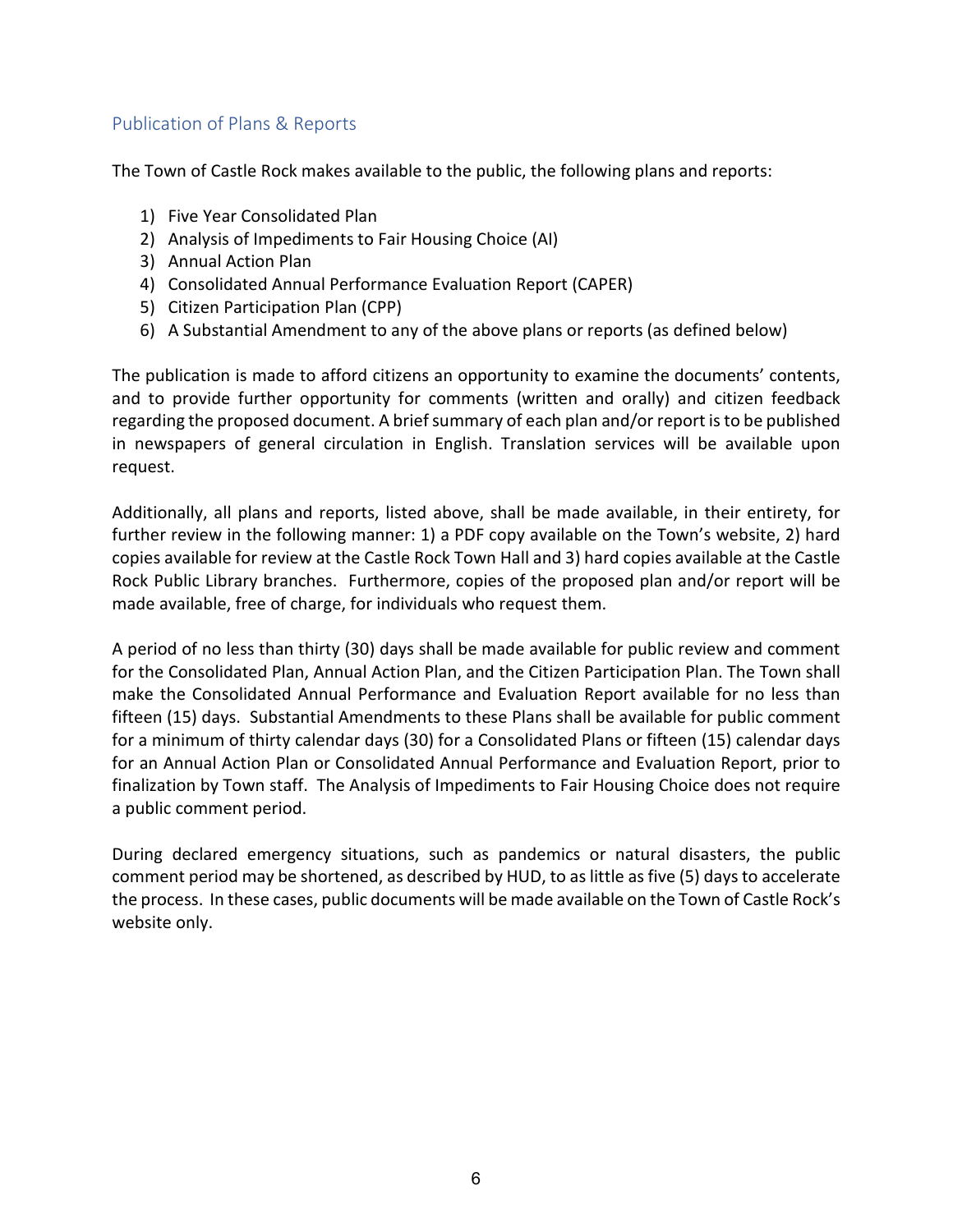# <span id="page-5-0"></span>Publication of Plans & Reports

The Town of Castle Rock makes available to the public, the following plans and reports:

- 1) Five Year Consolidated Plan
- 2) Analysis of Impediments to Fair Housing Choice (AI)
- 3) Annual Action Plan
- 4) Consolidated Annual Performance Evaluation Report (CAPER)
- 5) Citizen Participation Plan (CPP)
- 6) A Substantial Amendment to any of the above plans or reports (as defined below)

The publication is made to afford citizens an opportunity to examine the documents' contents, and to provide further opportunity for comments (written and orally) and citizen feedback regarding the proposed document. A brief summary of each plan and/or report is to be published in newspapers of general circulation in English. Translation services will be available upon request.

Additionally, all plans and reports, listed above, shall be made available, in their entirety, for further review in the following manner: 1) a PDF copy available on the Town's website, 2) hard copies available for review at the Castle Rock Town Hall and 3) hard copies available at the Castle Rock Public Library branches. Furthermore, copies of the proposed plan and/or report will be made available, free of charge, for individuals who request them.

A period of no less than thirty (30) days shall be made available for public review and comment for the Consolidated Plan, Annual Action Plan, and the Citizen Participation Plan. The Town shall make the Consolidated Annual Performance and Evaluation Report available for no less than fifteen (15) days. Substantial Amendments to these Plans shall be available for public comment for a minimum of thirty calendar days (30) for a Consolidated Plans or fifteen (15) calendar days for an Annual Action Plan or Consolidated Annual Performance and Evaluation Report, prior to finalization by Town staff. The Analysis of Impediments to Fair Housing Choice does not require a public comment period.

During declared emergency situations, such as pandemics or natural disasters, the public comment period may be shortened, as described by HUD, to as little as five (5) days to accelerate the process. In these cases, public documents will be made available on the Town of Castle Rock's website only.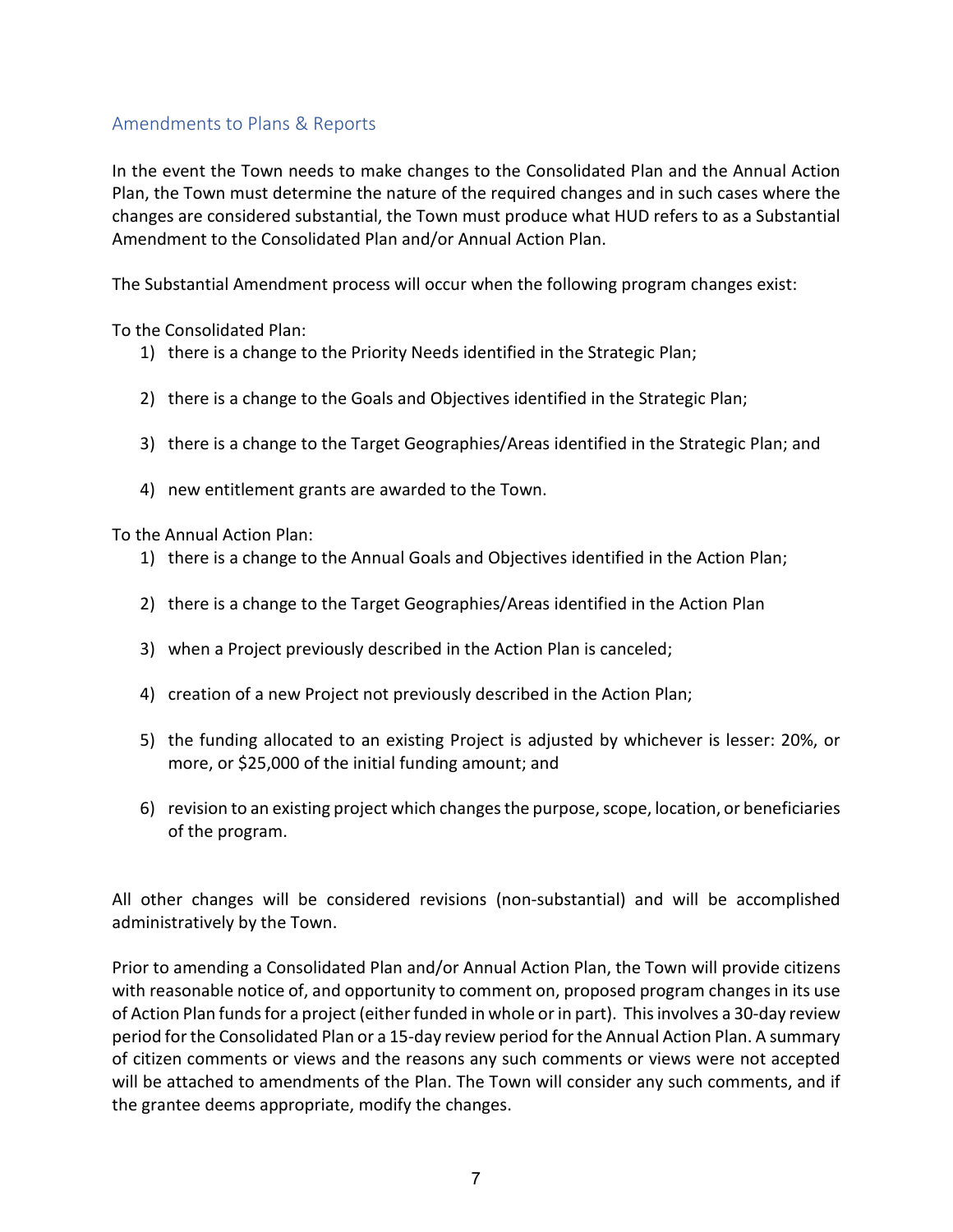# <span id="page-6-0"></span>Amendments to Plans & Reports

In the event the Town needs to make changes to the Consolidated Plan and the Annual Action Plan, the Town must determine the nature of the required changes and in such cases where the changes are considered substantial, the Town must produce what HUD refers to as a Substantial Amendment to the Consolidated Plan and/or Annual Action Plan.

The Substantial Amendment process will occur when the following program changes exist:

To the Consolidated Plan:

- 1) there is a change to the Priority Needs identified in the Strategic Plan;
- 2) there is a change to the Goals and Objectives identified in the Strategic Plan;
- 3) there is a change to the Target Geographies/Areas identified in the Strategic Plan; and
- 4) new entitlement grants are awarded to the Town.

To the Annual Action Plan:

- 1) there is a change to the Annual Goals and Objectives identified in the Action Plan;
- 2) there is a change to the Target Geographies/Areas identified in the Action Plan
- 3) when a Project previously described in the Action Plan is canceled;
- 4) creation of a new Project not previously described in the Action Plan;
- 5) the funding allocated to an existing Project is adjusted by whichever is lesser: 20%, or more, or \$25,000 of the initial funding amount; and
- 6) revision to an existing project which changes the purpose, scope, location, or beneficiaries of the program.

All other changes will be considered revisions (non-substantial) and will be accomplished administratively by the Town.

Prior to amending a Consolidated Plan and/or Annual Action Plan, the Town will provide citizens with reasonable notice of, and opportunity to comment on, proposed program changes in its use of Action Plan funds for a project (either funded in whole or in part). This involves a 30-day review period for the Consolidated Plan or a 15-day review period for the Annual Action Plan. A summary of citizen comments or views and the reasons any such comments or views were not accepted will be attached to amendments of the Plan. The Town will consider any such comments, and if the grantee deems appropriate, modify the changes.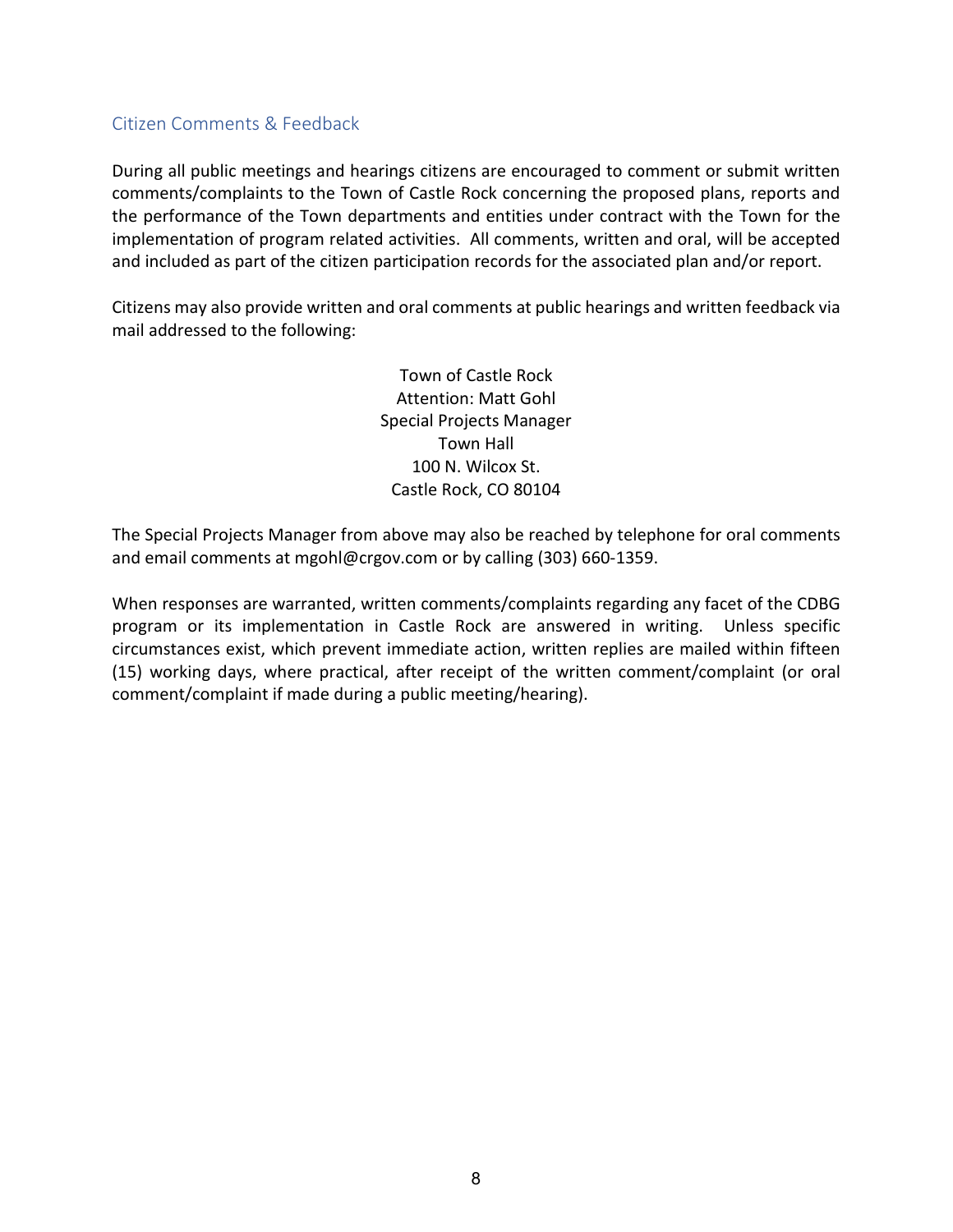# <span id="page-7-0"></span>Citizen Comments & Feedback

During all public meetings and hearings citizens are encouraged to comment or submit written comments/complaints to the Town of Castle Rock concerning the proposed plans, reports and the performance of the Town departments and entities under contract with the Town for the implementation of program related activities. All comments, written and oral, will be accepted and included as part of the citizen participation records for the associated plan and/or report.

Citizens may also provide written and oral comments at public hearings and written feedback via mail addressed to the following:

> Town of Castle Rock Attention: Matt Gohl Special Projects Manager Town Hall 100 N. Wilcox St. Castle Rock, CO 80104

The Special Projects Manager from above may also be reached by telephone for oral comments and email comments at mgohl@crgov.com or by calling (303) 660-1359.

When responses are warranted, written comments/complaints regarding any facet of the CDBG program or its implementation in Castle Rock are answered in writing. Unless specific circumstances exist, which prevent immediate action, written replies are mailed within fifteen (15) working days, where practical, after receipt of the written comment/complaint (or oral comment/complaint if made during a public meeting/hearing).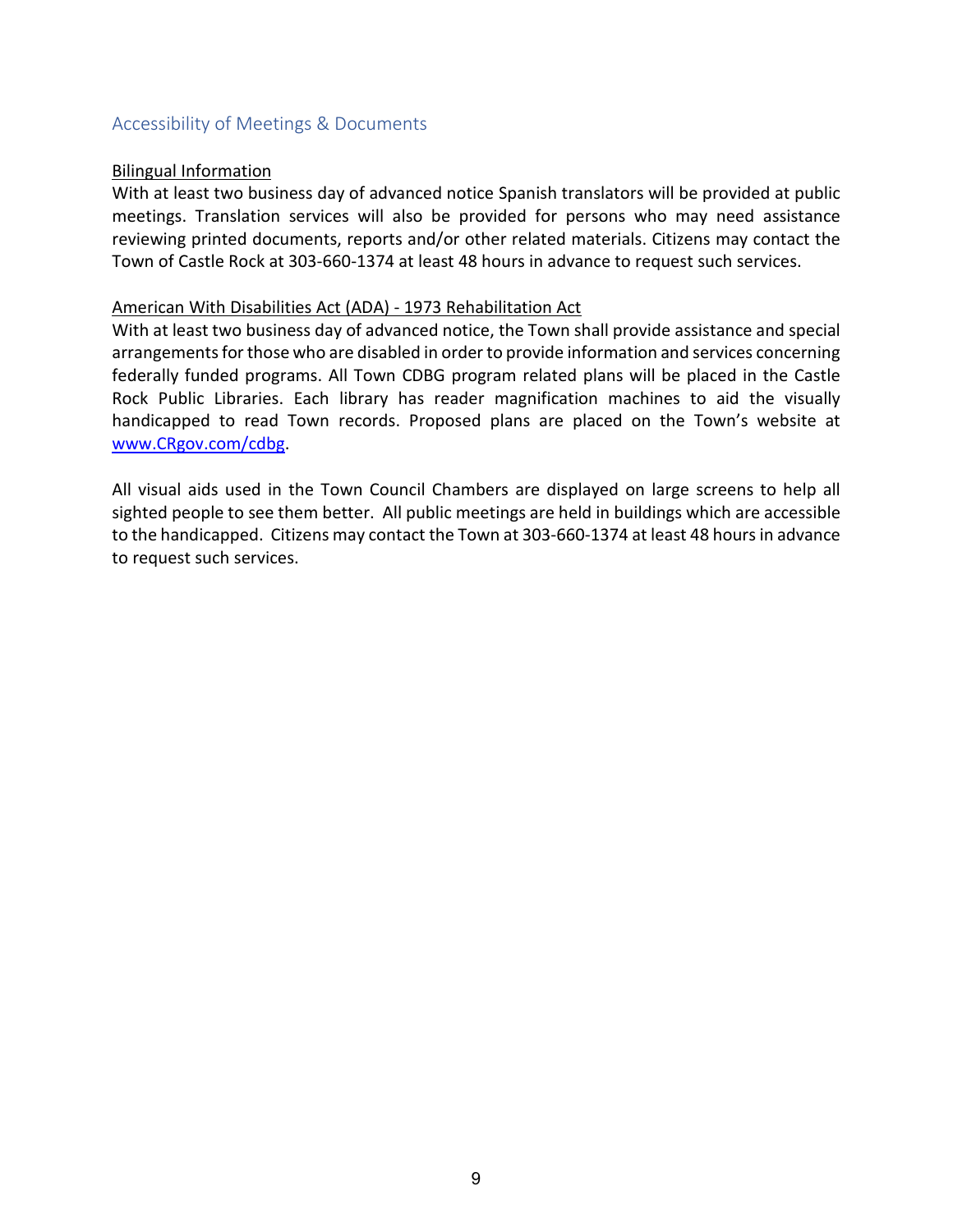# <span id="page-8-0"></span>Accessibility of Meetings & Documents

#### Bilingual Information

With at least two business day of advanced notice Spanish translators will be provided at public meetings. Translation services will also be provided for persons who may need assistance reviewing printed documents, reports and/or other related materials. Citizens may contact the Town of Castle Rock at 303-660-1374 at least 48 hours in advance to request such services.

#### American With Disabilities Act (ADA) - 1973 Rehabilitation Act

With at least two business day of advanced notice, the Town shall provide assistance and special arrangements for those who are disabled in order to provide information and services concerning federally funded programs. All Town CDBG program related plans will be placed in the Castle Rock Public Libraries. Each library has reader magnification machines to aid the visually handicapped to read Town records. Proposed plans are placed on the Town's website at [www.CRgov.com/cdbg.](http://www.crgov.com/cdbg)

All visual aids used in the Town Council Chambers are displayed on large screens to help all sighted people to see them better. All public meetings are held in buildings which are accessible to the handicapped. Citizens may contact the Town at 303-660-1374 at least 48 hours in advance to request such services.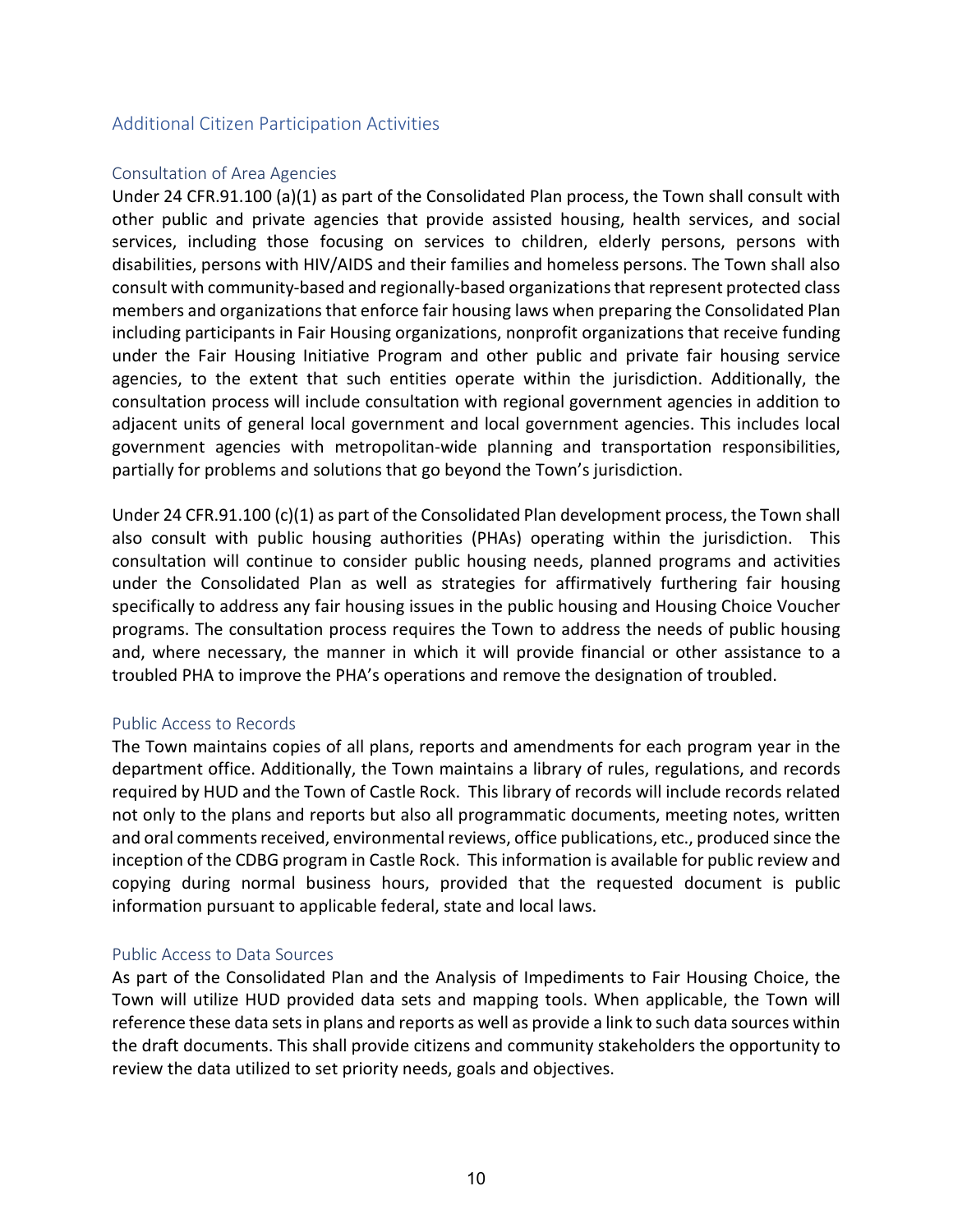# <span id="page-9-0"></span>Additional Citizen Participation Activities

#### <span id="page-9-1"></span>Consultation of Area Agencies

Under 24 CFR.91.100 (a)(1) as part of the Consolidated Plan process, the Town shall consult with other public and private agencies that provide assisted housing, health services, and social services, including those focusing on services to children, elderly persons, persons with disabilities, persons with HIV/AIDS and their families and homeless persons. The Town shall also consult with community-based and regionally-based organizations that represent protected class members and organizations that enforce fair housing laws when preparing the Consolidated Plan including participants in Fair Housing organizations, nonprofit organizations that receive funding under the Fair Housing Initiative Program and other public and private fair housing service agencies, to the extent that such entities operate within the jurisdiction. Additionally, the consultation process will include consultation with regional government agencies in addition to adjacent units of general local government and local government agencies. This includes local government agencies with metropolitan-wide planning and transportation responsibilities, partially for problems and solutions that go beyond the Town's jurisdiction.

Under 24 CFR.91.100 (c)(1) as part of the Consolidated Plan development process, the Town shall also consult with public housing authorities (PHAs) operating within the jurisdiction. This consultation will continue to consider public housing needs, planned programs and activities under the Consolidated Plan as well as strategies for affirmatively furthering fair housing specifically to address any fair housing issues in the public housing and Housing Choice Voucher programs. The consultation process requires the Town to address the needs of public housing and, where necessary, the manner in which it will provide financial or other assistance to a troubled PHA to improve the PHA's operations and remove the designation of troubled.

#### <span id="page-9-2"></span>Public Access to Records

The Town maintains copies of all plans, reports and amendments for each program year in the department office. Additionally, the Town maintains a library of rules, regulations, and records required by HUD and the Town of Castle Rock. This library of records will include records related not only to the plans and reports but also all programmatic documents, meeting notes, written and oral comments received, environmental reviews, office publications, etc., produced since the inception of the CDBG program in Castle Rock. This information is available for public review and copying during normal business hours, provided that the requested document is public information pursuant to applicable federal, state and local laws.

#### <span id="page-9-3"></span>Public Access to Data Sources

As part of the Consolidated Plan and the Analysis of Impediments to Fair Housing Choice, the Town will utilize HUD provided data sets and mapping tools. When applicable, the Town will reference these data sets in plans and reports as well as provide a link to such data sources within the draft documents. This shall provide citizens and community stakeholders the opportunity to review the data utilized to set priority needs, goals and objectives.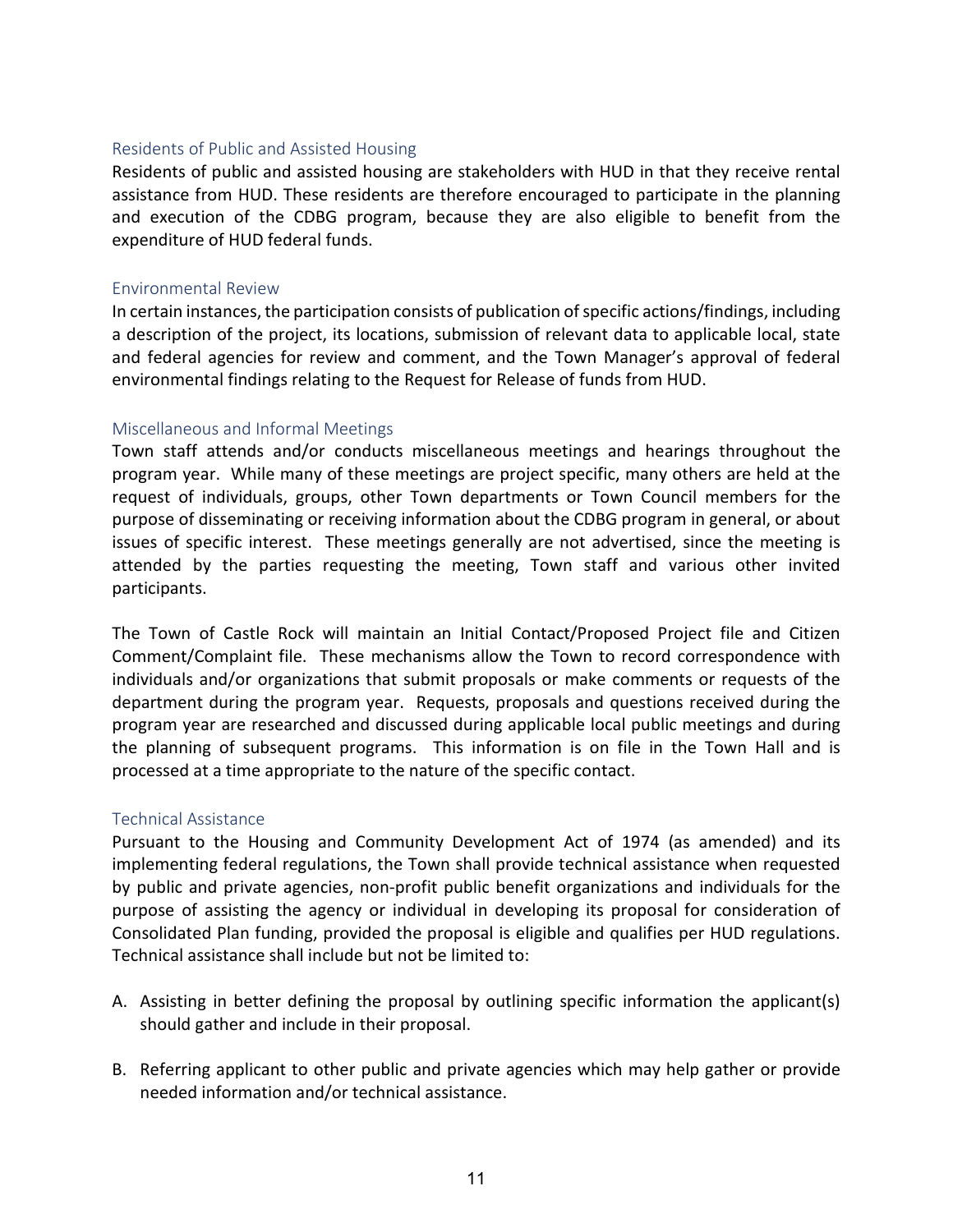#### <span id="page-10-0"></span>Residents of Public and Assisted Housing

Residents of public and assisted housing are stakeholders with HUD in that they receive rental assistance from HUD. These residents are therefore encouraged to participate in the planning and execution of the CDBG program, because they are also eligible to benefit from the expenditure of HUD federal funds.

#### <span id="page-10-1"></span>Environmental Review

In certain instances, the participation consists of publication of specific actions/findings, including a description of the project, its locations, submission of relevant data to applicable local, state and federal agencies for review and comment, and the Town Manager's approval of federal environmental findings relating to the Request for Release of funds from HUD.

#### <span id="page-10-2"></span>Miscellaneous and Informal Meetings

Town staff attends and/or conducts miscellaneous meetings and hearings throughout the program year. While many of these meetings are project specific, many others are held at the request of individuals, groups, other Town departments or Town Council members for the purpose of disseminating or receiving information about the CDBG program in general, or about issues of specific interest. These meetings generally are not advertised, since the meeting is attended by the parties requesting the meeting, Town staff and various other invited participants.

The Town of Castle Rock will maintain an Initial Contact/Proposed Project file and Citizen Comment/Complaint file. These mechanisms allow the Town to record correspondence with individuals and/or organizations that submit proposals or make comments or requests of the department during the program year. Requests, proposals and questions received during the program year are researched and discussed during applicable local public meetings and during the planning of subsequent programs. This information is on file in the Town Hall and is processed at a time appropriate to the nature of the specific contact.

#### <span id="page-10-3"></span>Technical Assistance

Pursuant to the Housing and Community Development Act of 1974 (as amended) and its implementing federal regulations, the Town shall provide technical assistance when requested by public and private agencies, non-profit public benefit organizations and individuals for the purpose of assisting the agency or individual in developing its proposal for consideration of Consolidated Plan funding, provided the proposal is eligible and qualifies per HUD regulations. Technical assistance shall include but not be limited to:

- A. Assisting in better defining the proposal by outlining specific information the applicant(s) should gather and include in their proposal.
- B. Referring applicant to other public and private agencies which may help gather or provide needed information and/or technical assistance.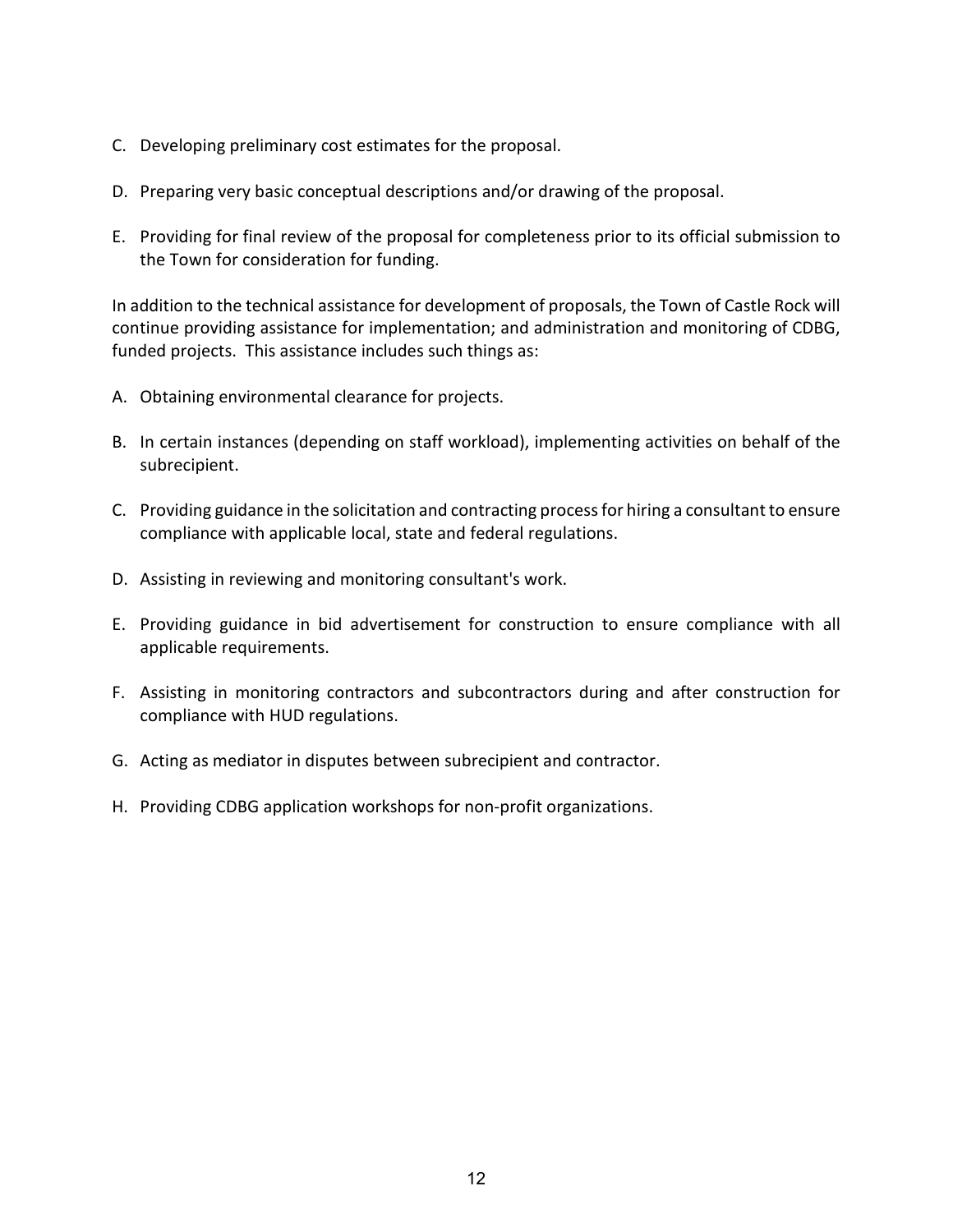- C. Developing preliminary cost estimates for the proposal.
- D. Preparing very basic conceptual descriptions and/or drawing of the proposal.
- E. Providing for final review of the proposal for completeness prior to its official submission to the Town for consideration for funding.

In addition to the technical assistance for development of proposals, the Town of Castle Rock will continue providing assistance for implementation; and administration and monitoring of CDBG, funded projects. This assistance includes such things as:

- A. Obtaining environmental clearance for projects.
- B. In certain instances (depending on staff workload), implementing activities on behalf of the subrecipient.
- C. Providing guidance in the solicitation and contracting process for hiring a consultant to ensure compliance with applicable local, state and federal regulations.
- D. Assisting in reviewing and monitoring consultant's work.
- E. Providing guidance in bid advertisement for construction to ensure compliance with all applicable requirements.
- F. Assisting in monitoring contractors and subcontractors during and after construction for compliance with HUD regulations.
- G. Acting as mediator in disputes between subrecipient and contractor.
- H. Providing CDBG application workshops for non-profit organizations.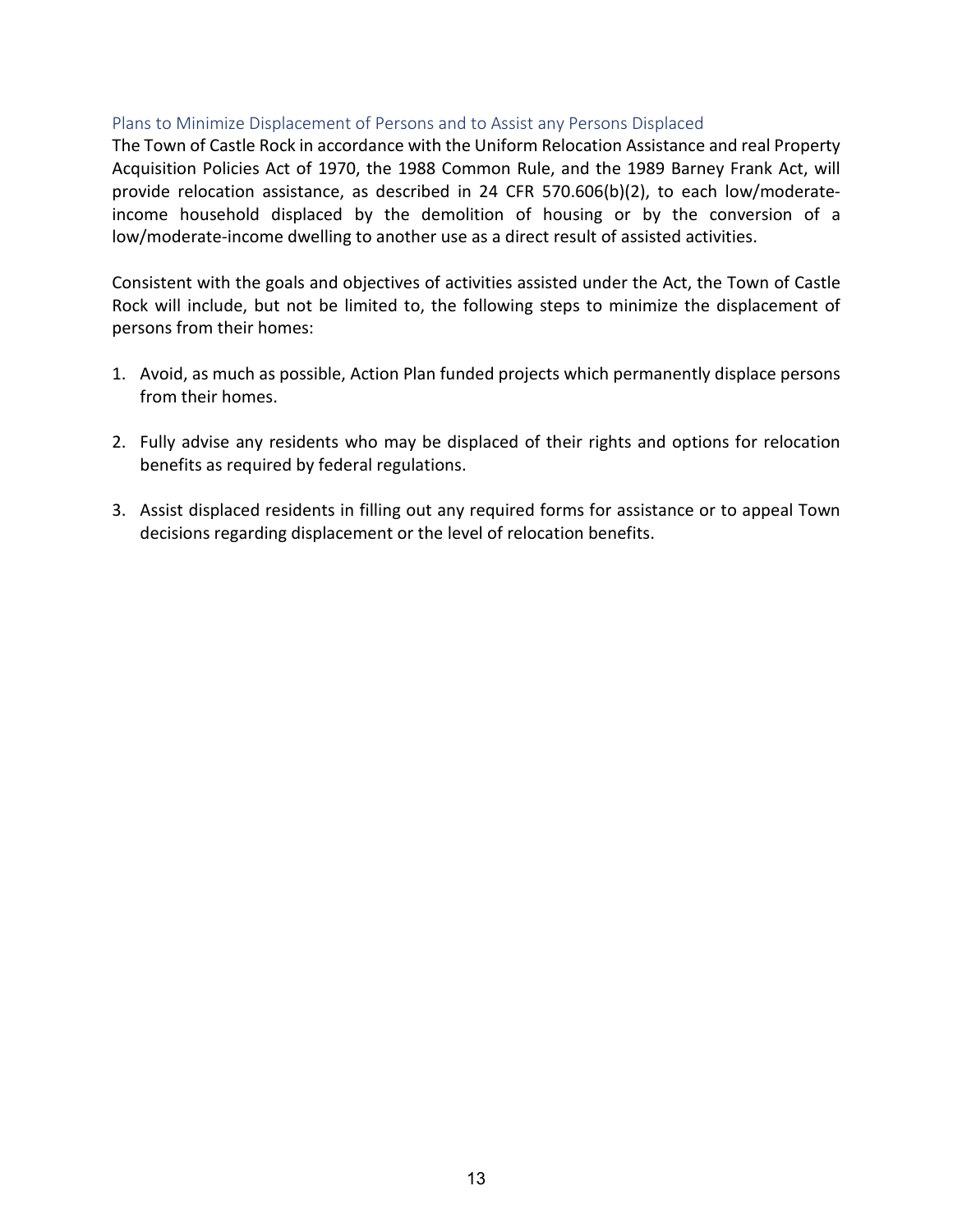#### <span id="page-12-0"></span>Plans to Minimize Displacement of Persons and to Assist any Persons Displaced

The Town of Castle Rock in accordance with the Uniform Relocation Assistance and real Property Acquisition Policies Act of 1970, the 1988 Common Rule, and the 1989 Barney Frank Act, will provide relocation assistance, as described in 24 CFR 570.606(b)(2), to each low/moderateincome household displaced by the demolition of housing or by the conversion of a low/moderate-income dwelling to another use as a direct result of assisted activities.

Consistent with the goals and objectives of activities assisted under the Act, the Town of Castle Rock will include, but not be limited to, the following steps to minimize the displacement of persons from their homes:

- 1. Avoid, as much as possible, Action Plan funded projects which permanently displace persons from their homes.
- 2. Fully advise any residents who may be displaced of their rights and options for relocation benefits as required by federal regulations.
- 3. Assist displaced residents in filling out any required forms for assistance or to appeal Town decisions regarding displacement or the level of relocation benefits.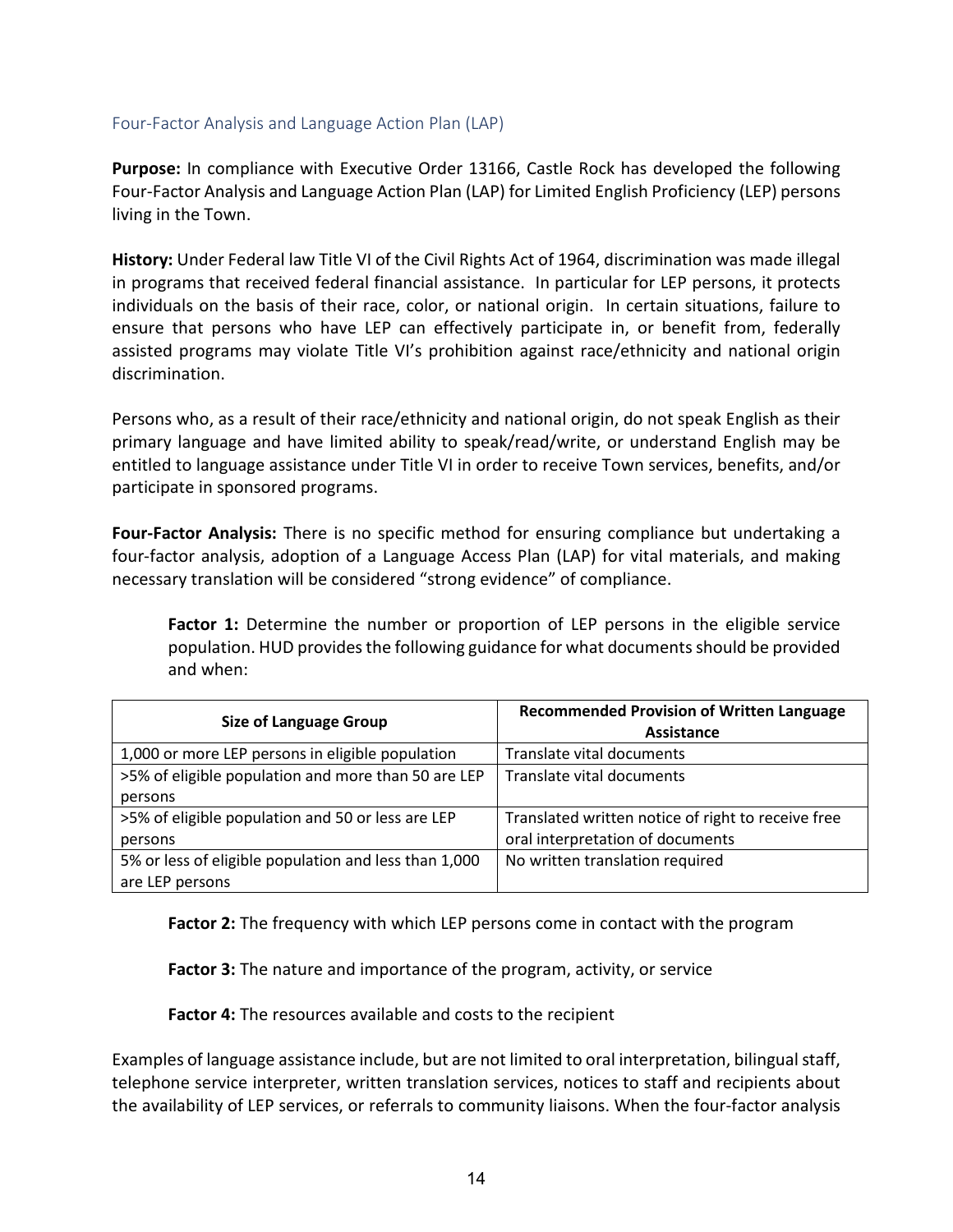#### <span id="page-13-0"></span>Four-Factor Analysis and Language Action Plan (LAP)

**Purpose:** In compliance with Executive Order 13166, Castle Rock has developed the following Four-Factor Analysis and Language Action Plan (LAP) for Limited English Proficiency (LEP) persons living in the Town.

**History:** Under Federal law Title VI of the Civil Rights Act of 1964, discrimination was made illegal in programs that received federal financial assistance. In particular for LEP persons, it protects individuals on the basis of their race, color, or national origin. In certain situations, failure to ensure that persons who have LEP can effectively participate in, or benefit from, federally assisted programs may violate Title VI's prohibition against race/ethnicity and national origin discrimination.

Persons who, as a result of their race/ethnicity and national origin, do not speak English as their primary language and have limited ability to speak/read/write, or understand English may be entitled to language assistance under Title VI in order to receive Town services, benefits, and/or participate in sponsored programs.

**Four-Factor Analysis:** There is no specific method for ensuring compliance but undertaking a four-factor analysis, adoption of a Language Access Plan (LAP) for vital materials, and making necessary translation will be considered "strong evidence" of compliance.

**Factor 1:** Determine the number or proportion of LEP persons in the eligible service population. HUD provides the following guidance for what documents should be provided and when:

| <b>Size of Language Group</b>                         | <b>Recommended Provision of Written Language</b><br>Assistance |  |
|-------------------------------------------------------|----------------------------------------------------------------|--|
|                                                       |                                                                |  |
| 1,000 or more LEP persons in eligible population      | Translate vital documents                                      |  |
| >5% of eligible population and more than 50 are LEP   | Translate vital documents                                      |  |
| persons                                               |                                                                |  |
| >5% of eligible population and 50 or less are LEP     | Translated written notice of right to receive free             |  |
| persons                                               | oral interpretation of documents                               |  |
| 5% or less of eligible population and less than 1,000 | No written translation required                                |  |
| are LEP persons                                       |                                                                |  |

**Factor 2:** The frequency with which LEP persons come in contact with the program

**Factor 3:** The nature and importance of the program, activity, or service

**Factor 4:** The resources available and costs to the recipient

Examples of language assistance include, but are not limited to oral interpretation, bilingual staff, telephone service interpreter, written translation services, notices to staff and recipients about the availability of LEP services, or referrals to community liaisons. When the four-factor analysis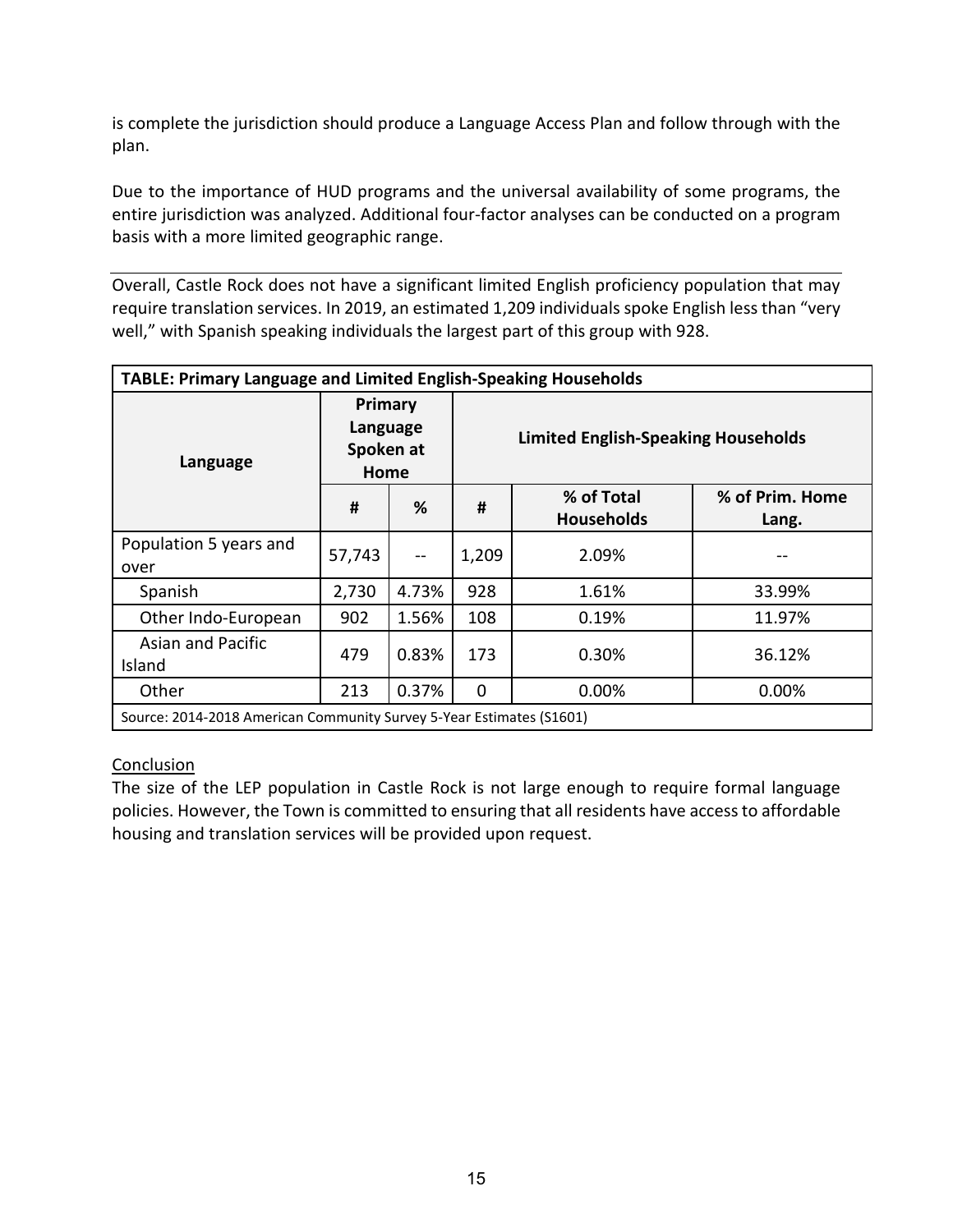is complete the jurisdiction should produce a Language Access Plan and follow through with the plan.

Due to the importance of HUD programs and the universal availability of some programs, the entire jurisdiction was analyzed. Additional four-factor analyses can be conducted on a program basis with a more limited geographic range.

Overall, Castle Rock does not have a significant limited English proficiency population that may require translation services. In 2019, an estimated 1,209 individuals spoke English less than "very well," with Spanish speaking individuals the largest part of this group with 928.

| TABLE: Primary Language and Limited English-Speaking Households      |        |                                          |          |                                            |                          |  |  |
|----------------------------------------------------------------------|--------|------------------------------------------|----------|--------------------------------------------|--------------------------|--|--|
| Language                                                             |        | Primary<br>Language<br>Spoken at<br>Home |          | <b>Limited English-Speaking Households</b> |                          |  |  |
|                                                                      | #      | %                                        | #        | % of Total<br><b>Households</b>            | % of Prim. Home<br>Lang. |  |  |
| Population 5 years and<br>over                                       | 57,743 | $-$                                      | 1,209    | 2.09%                                      |                          |  |  |
| Spanish                                                              | 2,730  | 4.73%                                    | 928      | 1.61%                                      | 33.99%                   |  |  |
| Other Indo-European                                                  | 902    | 1.56%                                    | 108      | 0.19%                                      | 11.97%                   |  |  |
| <b>Asian and Pacific</b><br>Island                                   | 479    | 0.83%                                    | 173      | 0.30%                                      | 36.12%                   |  |  |
| Other                                                                | 213    | 0.37%                                    | $\Omega$ | 0.00%                                      | 0.00%                    |  |  |
| Source: 2014-2018 American Community Survey 5-Year Estimates (S1601) |        |                                          |          |                                            |                          |  |  |

# **Conclusion**

The size of the LEP population in Castle Rock is not large enough to require formal language policies. However, the Town is committed to ensuring that all residents have access to affordable housing and translation services will be provided upon request.